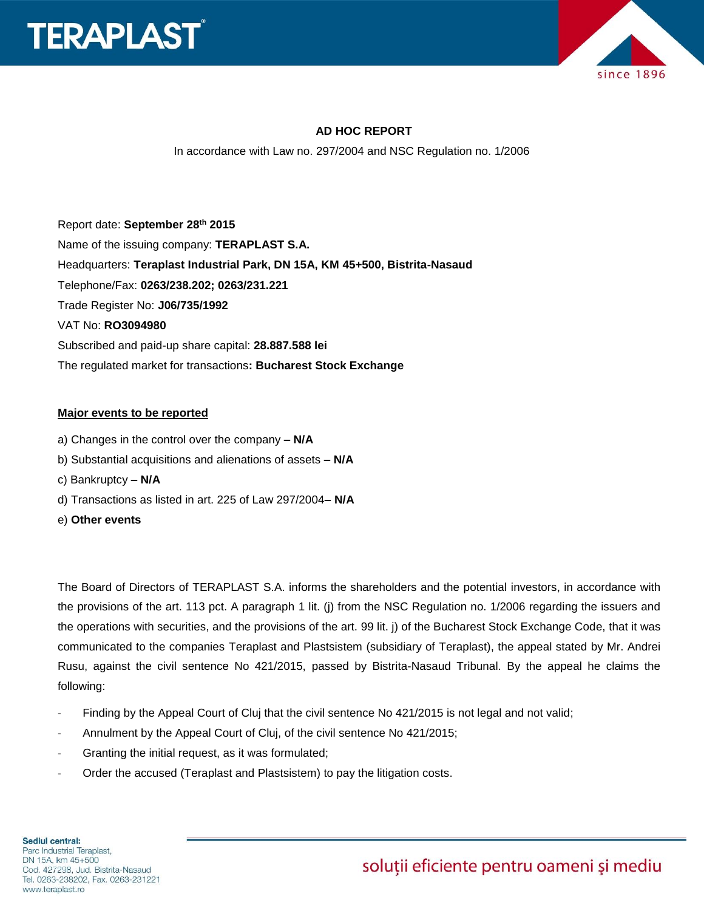



## **AD HOC REPORT**

In accordance with Law no. 297/2004 and NSC Regulation no. 1/2006

Report date: **September 28th 2015** Name of the issuing company: **TERAPLAST S.A.**  Headquarters: **Teraplast Industrial Park, DN 15A, KM 45+500, Bistrita-Nasaud** Telephone/Fax: **0263/238.202; 0263/231.221** Trade Register No: **J06/735/1992** VAT No: **RO3094980** Subscribed and paid-up share capital: **28.887.588 lei** The regulated market for transactions**: Bucharest Stock Exchange**

## **Major events to be reported**

- a) Changes in the control over the company **– N/A**
- b) Substantial acquisitions and alienations of assets **– N/A**
- c) Bankruptcy **– N/A**
- d) Transactions as listed in art. 225 of Law 297/2004**– N/A**
- e) **Other events**

The Board of Directors of TERAPLAST S.A. informs the shareholders and the potential investors, in accordance with the provisions of the art. 113 pct. A paragraph 1 lit. (j) from the NSC Regulation no. 1/2006 regarding the issuers and the operations with securities, and the provisions of the art. 99 lit. j) of the Bucharest Stock Exchange Code, that it was communicated to the companies Teraplast and Plastsistem (subsidiary of Teraplast), the appeal stated by Mr. Andrei Rusu, against the civil sentence No 421/2015, passed by Bistrita-Nasaud Tribunal. By the appeal he claims the following:

- Finding by the Appeal Court of Cluj that the civil sentence No 421/2015 is not legal and not valid;
- Annulment by the Appeal Court of Cluj, of the civil sentence No 421/2015;
- Granting the initial request, as it was formulated;
- Order the accused (Teraplast and Plastsistem) to pay the litigation costs.